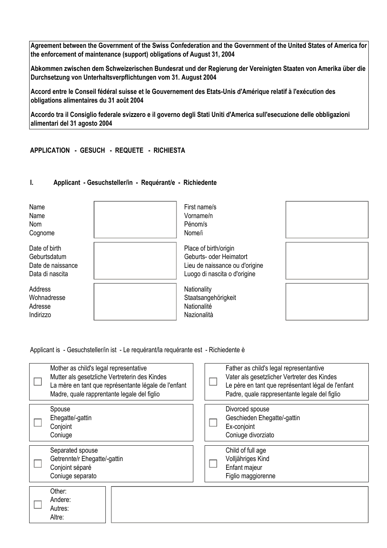**Agreement between the Government of the Swiss Confederation and the Government of the United States of America for the enforcement of maintenance (support) obligations of August 31, 2004** 

**Abkommen zwischen dem Schweizerischen Bundesrat und der Regierung der Vereinigten Staaten von Amerika über die Durchsetzung von Unterhaltsverpflichtungen vom 31. August 2004** 

**Accord entre le Conseil fédéral suisse et le Gouvernement des Etats-Unis d'Amérique relatif à l'exécution des obligations alimentaires du 31 août 2004** 

**Accordo tra il Consiglio federale svizzero e il governo degli Stati Uniti d'America sull'esecuzione delle obbligazioni alimentari del 31 agosto 2004**

**APPLICATION - GESUCH - REQUETE - RICHIESTA** 

## **I. Applicant - Gesuchsteller/in - Requérant/e - Richiedente**

| Name<br>Name<br>Nom<br>Cognome                                        | First name/s<br>Vorname/n<br>Pénom/s<br>Nome/i                                                                     |  |
|-----------------------------------------------------------------------|--------------------------------------------------------------------------------------------------------------------|--|
| Date of birth<br>Geburtsdatum<br>Date de naissance<br>Data di nascita | Place of birth/origin<br>Geburts- oder Heimatort<br>Lieu de naissance ou d'origine<br>Luogo di nascita o d'origine |  |
| Address<br>Wohnadresse<br>Adresse<br>Indirizzo                        | Nationality<br>Staatsangehörigkeit<br>Nationalité<br>Nazionalità                                                   |  |

Applicant is - Gesuchsteller/in ist - Le requérant/la requérante est - Richiedente è

| Mother as child's legal representative<br>Mutter als gesetzliche Vertreterin des Kindes<br>La mère en tant que représentante légale de l'enfant<br>Madre, quale rapprentante legale del figlio |  | Father as child's legal representantive<br>Vater als gesetzlicher Vertreter des Kindes<br>Le père en tant que représentant légal de l'enfant<br>Padre, quale rappresentante legale del figlio |
|------------------------------------------------------------------------------------------------------------------------------------------------------------------------------------------------|--|-----------------------------------------------------------------------------------------------------------------------------------------------------------------------------------------------|
| Spouse<br>Ehegatte/-gattin<br>Conjoint<br>Coniuge                                                                                                                                              |  | Divorced spouse<br>Geschieden Ehegatte/-gattin<br>Ex-conjoint<br>Coniuge divorziato                                                                                                           |
| Separated spouse<br>Getrennte/r Ehegatte/-gattin<br>Conjoint séparé<br>Coniuge separato                                                                                                        |  | Child of full age<br>Volljähriges Kind<br>Enfant majeur<br>Figlio maggiorenne                                                                                                                 |
| Other:<br>Andere:<br>Autres:<br>Altre:                                                                                                                                                         |  |                                                                                                                                                                                               |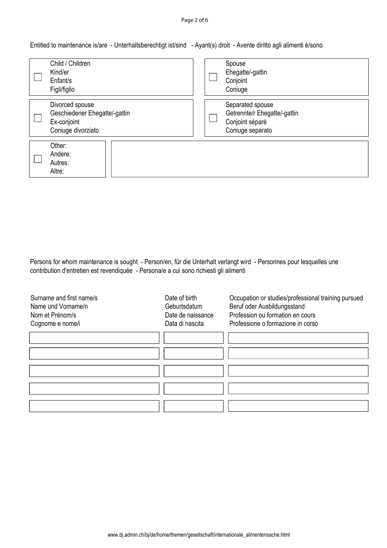Entitled to maintenance is/are - Unterhaltsberechtigt ist/sind - Ayant(s) droit - Avente diritto agli alimenti è/sono

| Child / Children<br>Kind/er<br>Enfant/s<br>Figli/figlio                               | Spouse<br>Ehegatte/-gattin<br>Conjoint<br>Coniuge                                       |
|---------------------------------------------------------------------------------------|-----------------------------------------------------------------------------------------|
| Divorced spouse<br>Geschiedener Ehegatte/-gattin<br>Ex-conjoint<br>Coniuge divorziato | Separated spouse<br>Getrennte/r Ehegatte/-gattin<br>Conjoint séparé<br>Coniuge separato |
| Other:<br>Andere:<br>Autres:<br>Altre:                                                |                                                                                         |

Persons for whom maintenance is sought - Person/en, für die Unterhalt verlangt wird - Personnes pour lesquelles une contribution d'entretien est revendiquée - Persona/e a cui sono richiesti gli alimenti

| Surname and first name/s<br>Name und Vorname/n | Date of birth<br>Geburtsdatum | Occupation or studies/professional training pursued<br>Beruf oder Ausbildungsstand |
|------------------------------------------------|-------------------------------|------------------------------------------------------------------------------------|
| Nom et Prénom/s                                | Date de naissance             | Profession ou formation en cours                                                   |
| Cognome e nome/i                               | Data di nascita               | Professione o formazione in corso                                                  |
|                                                |                               |                                                                                    |
|                                                |                               |                                                                                    |
|                                                |                               |                                                                                    |
|                                                |                               |                                                                                    |
|                                                |                               |                                                                                    |
|                                                |                               |                                                                                    |
|                                                |                               |                                                                                    |
|                                                |                               |                                                                                    |
|                                                |                               |                                                                                    |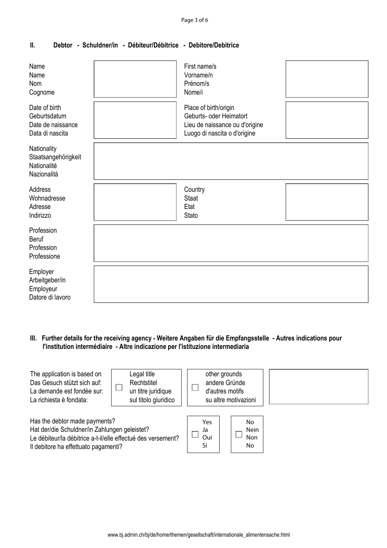| Name<br>Name<br><b>Nom</b><br>Cognome<br>Date of birth<br>Geburtsdatum<br>Date de naissance<br>Data di nascita | First name/s<br>Vorname/n<br>Prénom/s<br>Nome/i<br>Place of birth/origin<br>Geburts- oder Heimatort<br>Lieu de naissance ou d'origine<br>Luogo di nascita o d'origine |  |
|----------------------------------------------------------------------------------------------------------------|-----------------------------------------------------------------------------------------------------------------------------------------------------------------------|--|
| Nationality<br>Staatsangehörigkeit<br>Nationalité<br>Nazionalità                                               |                                                                                                                                                                       |  |
| Address<br>Wohnadresse<br>Adresse<br>Indirizzo                                                                 | Country<br><b>Staat</b><br>Etat<br><b>Stato</b>                                                                                                                       |  |
| Profession<br><b>Beruf</b><br>Profession<br>Professione                                                        |                                                                                                                                                                       |  |
| Employer<br>Arbeitgeber/in<br>Employeur<br>Datore di lavoro                                                    |                                                                                                                                                                       |  |

## **II. Debtor - Schuldner/in - Débiteur/Débitrice - Debitore/Debitrice**

**III. Further details for the receiving agency - Weitere Angaben für die Empfangsstelle - Autres indications pour l'institution intermédiaire - Altre indicazione per l'istituzione intermediaria**

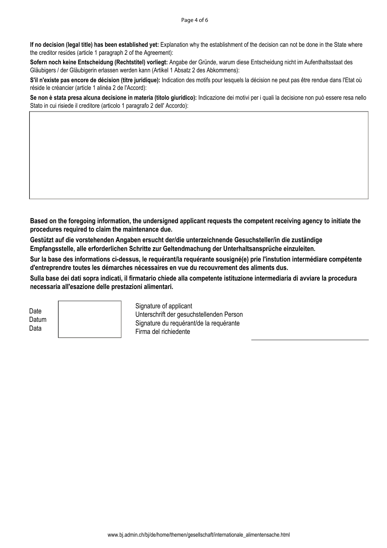If no decision (legal title) has been established yet: Explanation why the establishment of the decision can not be done in the State where the creditor resides (article 1 paragraph 2 of the Agreement):

**Sofern noch keine Entscheidung (Rechtstitel) vorliegt:** Angabe der Gründe, warum diese Entscheidung nicht im Aufenthaltsstaat des Gläubigers / der Gläubigerin erlassen werden kann (Artikel 1 Absatz 2 des Abkommens):

**S'il n'existe pas encore de décision (titre juridique):** Indication des motifs pour lesquels la décision ne peut pas être rendue dans l'Etat où réside le créancier (article 1 alinéa 2 de l'Accord):

**Se non è stata presa alcuna decisione in materia (titolo giuridico):** Indicazione dei motivi per i quali la decisione non può essere resa nello Stato in cui risiede il creditore (articolo 1 paragrafo 2 dell' Accordo):

**Based on the foregoing information, the undersigned applicant requests the competent receiving agency to initiate the procedures required to claim the maintenance due.** 

**Gestützt auf die vorstehenden Angaben ersucht der/die unterzeichnende Gesuchsteller/in die zuständige Empfangsstelle, alle erforderlichen Schritte zur Geltendmachung der Unterhaltsansprüche einzuleiten.** 

**Sur la base des informations ci-dessus, le requérant/la requérante sousigné(e) prie l'instution intermédiare compétente d'entreprendre toutes les démarches nécessaires en vue du recouvrement des aliments dus.** 

**Sulla base dei dati sopra indicati, il firmatario chiede alla competente istituzione intermediaria di avviare la procedura necessaria all'esazione delle prestazioni alimentari.**

**Date** Datum Data

Signature of applicant Unterschrift der gesuchstellenden Person Signature du requérant/de la requérante Firma del richiedente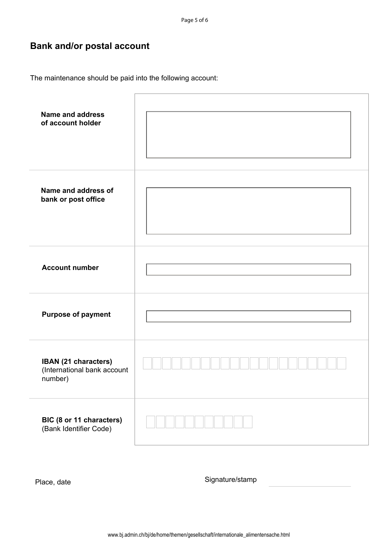## **Bank and/or postal account**

The maintenance should be paid into the following account:

| <b>Name and address</b><br>of account holder                   |  |
|----------------------------------------------------------------|--|
| Name and address of<br>bank or post office                     |  |
| <b>Account number</b>                                          |  |
| <b>Purpose of payment</b>                                      |  |
| IBAN (21 characters)<br>(International bank account<br>number) |  |
| BIC (8 or 11 characters)<br>(Bank Identifier Code)             |  |

Place, date and the stamp place of the Signature/stamp place, date